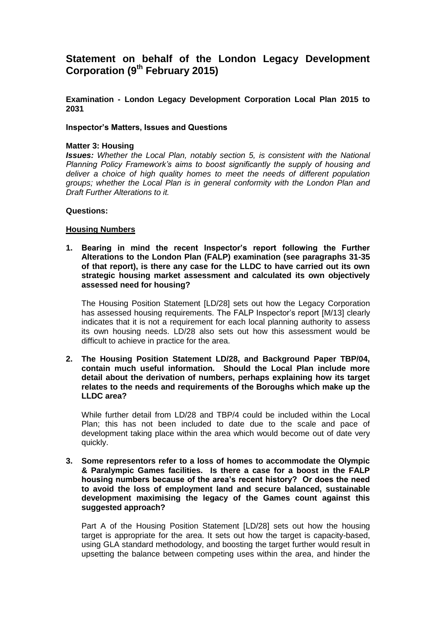# **Statement on behalf of the London Legacy Development Corporation (9th February 2015)**

**Examination - London Legacy Development Corporation Local Plan 2015 to 2031**

#### **Inspector's Matters, Issues and Questions**

#### **Matter 3: Housing**

*Issues: Whether the Local Plan, notably section 5, is consistent with the National Planning Policy Framework's aims to boost significantly the supply of housing and deliver a choice of high quality homes to meet the needs of different population groups; whether the Local Plan is in general conformity with the London Plan and Draft Further Alterations to it.*

#### **Questions:**

#### **Housing Numbers**

**1. Bearing in mind the recent Inspector's report following the Further Alterations to the London Plan (FALP) examination (see paragraphs 31-35 of that report), is there any case for the LLDC to have carried out its own strategic housing market assessment and calculated its own objectively assessed need for housing?** 

The Housing Position Statement [LD/28] sets out how the Legacy Corporation has assessed housing requirements. The FALP Inspector's report [M/13] clearly indicates that it is not a requirement for each local planning authority to assess its own housing needs. LD/28 also sets out how this assessment would be difficult to achieve in practice for the area.

**2. The Housing Position Statement LD/28, and Background Paper TBP/04, contain much useful information. Should the Local Plan include more detail about the derivation of numbers, perhaps explaining how its target relates to the needs and requirements of the Boroughs which make up the LLDC area?**

While further detail from LD/28 and TBP/4 could be included within the Local Plan; this has not been included to date due to the scale and pace of development taking place within the area which would become out of date very quickly.

**3. Some representors refer to a loss of homes to accommodate the Olympic & Paralympic Games facilities. Is there a case for a boost in the FALP housing numbers because of the area's recent history? Or does the need to avoid the loss of employment land and secure balanced, sustainable development maximising the legacy of the Games count against this suggested approach?** 

Part A of the Housing Position Statement [LD/28] sets out how the housing target is appropriate for the area. It sets out how the target is capacity-based, using GLA standard methodology, and boosting the target further would result in upsetting the balance between competing uses within the area, and hinder the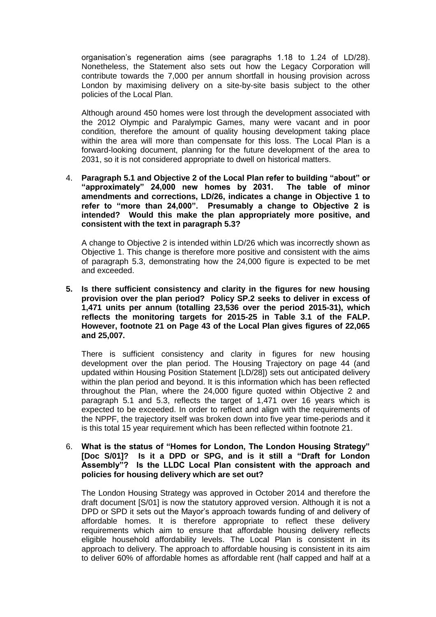organisation's regeneration aims (see paragraphs 1.18 to 1.24 of LD/28). Nonetheless, the Statement also sets out how the Legacy Corporation will contribute towards the 7,000 per annum shortfall in housing provision across London by maximising delivery on a site-by-site basis subject to the other policies of the Local Plan.

Although around 450 homes were lost through the development associated with the 2012 Olympic and Paralympic Games, many were vacant and in poor condition, therefore the amount of quality housing development taking place within the area will more than compensate for this loss. The Local Plan is a forward-looking document, planning for the future development of the area to 2031, so it is not considered appropriate to dwell on historical matters.

4. **Paragraph 5.1 and Objective 2 of the Local Plan refer to building "about" or "approximately" 24,000 new homes by 2031. The table of minor amendments and corrections, LD/26, indicates a change in Objective 1 to refer to "more than 24,000". Presumably a change to Objective 2 is intended? Would this make the plan appropriately more positive, and consistent with the text in paragraph 5.3?**

A change to Objective 2 is intended within LD/26 which was incorrectly shown as Objective 1. This change is therefore more positive and consistent with the aims of paragraph 5.3, demonstrating how the 24,000 figure is expected to be met and exceeded.

**5. Is there sufficient consistency and clarity in the figures for new housing provision over the plan period? Policy SP.2 seeks to deliver in excess of 1,471 units per annum (totalling 23,536 over the period 2015-31), which reflects the monitoring targets for 2015-25 in Table 3.1 of the FALP. However, footnote 21 on Page 43 of the Local Plan gives figures of 22,065 and 25,007.**

There is sufficient consistency and clarity in figures for new housing development over the plan period. The Housing Trajectory on page 44 (and updated within Housing Position Statement [LD/28]) sets out anticipated delivery within the plan period and beyond. It is this information which has been reflected throughout the Plan, where the 24,000 figure quoted within Objective 2 and paragraph 5.1 and 5.3, reflects the target of 1,471 over 16 years which is expected to be exceeded. In order to reflect and align with the requirements of the NPPF, the trajectory itself was broken down into five year time-periods and it is this total 15 year requirement which has been reflected within footnote 21.

# 6. **What is the status of "Homes for London, The London Housing Strategy" [Doc S/01]? Is it a DPD or SPG, and is it still a "Draft for London Assembly"? Is the LLDC Local Plan consistent with the approach and policies for housing delivery which are set out?**

The London Housing Strategy was approved in October 2014 and therefore the draft document [S/01] is now the statutory approved version. Although it is not a DPD or SPD it sets out the Mayor's approach towards funding of and delivery of affordable homes. It is therefore appropriate to reflect these delivery requirements which aim to ensure that affordable housing delivery reflects eligible household affordability levels. The Local Plan is consistent in its approach to delivery. The approach to affordable housing is consistent in its aim to deliver 60% of affordable homes as affordable rent (half capped and half at a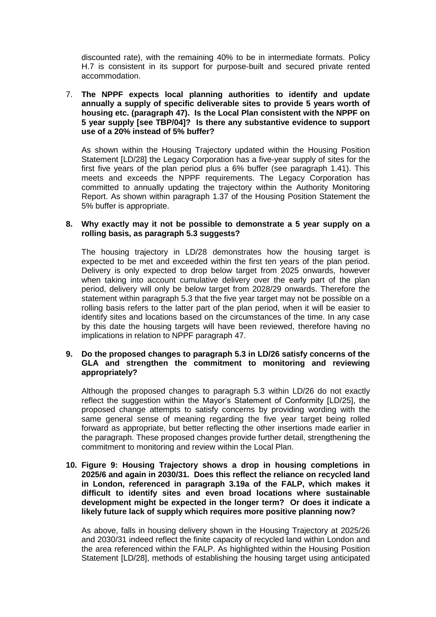discounted rate), with the remaining 40% to be in intermediate formats. Policy H.7 is consistent in its support for purpose-built and secured private rented accommodation.

# 7. **The NPPF expects local planning authorities to identify and update annually a supply of specific deliverable sites to provide 5 years worth of housing etc. (paragraph 47). Is the Local Plan consistent with the NPPF on 5 year supply [see TBP/04]? Is there any substantive evidence to support use of a 20% instead of 5% buffer?**

As shown within the Housing Trajectory updated within the Housing Position Statement [LD/28] the Legacy Corporation has a five-year supply of sites for the first five years of the plan period plus a 6% buffer (see paragraph 1.41). This meets and exceeds the NPPF requirements. The Legacy Corporation has committed to annually updating the trajectory within the Authority Monitoring Report. As shown within paragraph 1.37 of the Housing Position Statement the 5% buffer is appropriate.

# **8. Why exactly may it not be possible to demonstrate a 5 year supply on a rolling basis, as paragraph 5.3 suggests?**

The housing trajectory in LD/28 demonstrates how the housing target is expected to be met and exceeded within the first ten years of the plan period. Delivery is only expected to drop below target from 2025 onwards, however when taking into account cumulative delivery over the early part of the plan period, delivery will only be below target from 2028/29 onwards. Therefore the statement within paragraph 5.3 that the five year target may not be possible on a rolling basis refers to the latter part of the plan period, when it will be easier to identify sites and locations based on the circumstances of the time. In any case by this date the housing targets will have been reviewed, therefore having no implications in relation to NPPF paragraph 47.

## **9. Do the proposed changes to paragraph 5.3 in LD/26 satisfy concerns of the GLA and strengthen the commitment to monitoring and reviewing appropriately?**

Although the proposed changes to paragraph 5.3 within LD/26 do not exactly reflect the suggestion within the Mayor's Statement of Conformity [LD/25], the proposed change attempts to satisfy concerns by providing wording with the same general sense of meaning regarding the five year target being rolled forward as appropriate, but better reflecting the other insertions made earlier in the paragraph. These proposed changes provide further detail, strengthening the commitment to monitoring and review within the Local Plan.

### **10. Figure 9: Housing Trajectory shows a drop in housing completions in 2025/6 and again in 2030/31. Does this reflect the reliance on recycled land in London, referenced in paragraph 3.19a of the FALP, which makes it difficult to identify sites and even broad locations where sustainable development might be expected in the longer term? Or does it indicate a likely future lack of supply which requires more positive planning now?**

As above, falls in housing delivery shown in the Housing Trajectory at 2025/26 and 2030/31 indeed reflect the finite capacity of recycled land within London and the area referenced within the FALP. As highlighted within the Housing Position Statement [LD/28], methods of establishing the housing target using anticipated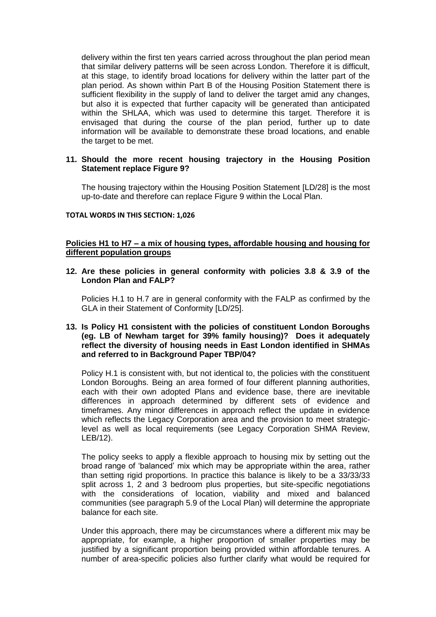delivery within the first ten years carried across throughout the plan period mean that similar delivery patterns will be seen across London. Therefore it is difficult, at this stage, to identify broad locations for delivery within the latter part of the plan period. As shown within Part B of the Housing Position Statement there is sufficient flexibility in the supply of land to deliver the target amid any changes, but also it is expected that further capacity will be generated than anticipated within the SHLAA, which was used to determine this target. Therefore it is envisaged that during the course of the plan period, further up to date information will be available to demonstrate these broad locations, and enable the target to be met.

# **11. Should the more recent housing trajectory in the Housing Position Statement replace Figure 9?**

The housing trajectory within the Housing Position Statement [LD/28] is the most up-to-date and therefore can replace Figure 9 within the Local Plan.

#### **TOTAL WORDS IN THIS SECTION: 1,026**

### **Policies H1 to H7 – a mix of housing types, affordable housing and housing for different population groups**

#### **12. Are these policies in general conformity with policies 3.8 & 3.9 of the London Plan and FALP?**

Policies H.1 to H.7 are in general conformity with the FALP as confirmed by the GLA in their Statement of Conformity [LD/25].

## **13. Is Policy H1 consistent with the policies of constituent London Boroughs (eg. LB of Newham target for 39% family housing)? Does it adequately reflect the diversity of housing needs in East London identified in SHMAs and referred to in Background Paper TBP/04?**

Policy H.1 is consistent with, but not identical to, the policies with the constituent London Boroughs. Being an area formed of four different planning authorities, each with their own adopted Plans and evidence base, there are inevitable differences in approach determined by different sets of evidence and timeframes. Any minor differences in approach reflect the update in evidence which reflects the Legacy Corporation area and the provision to meet strategiclevel as well as local requirements (see Legacy Corporation SHMA Review, LEB/12).

The policy seeks to apply a flexible approach to housing mix by setting out the broad range of 'balanced' mix which may be appropriate within the area, rather than setting rigid proportions. In practice this balance is likely to be a 33/33/33 split across 1, 2 and 3 bedroom plus properties, but site-specific negotiations with the considerations of location, viability and mixed and balanced communities (see paragraph 5.9 of the Local Plan) will determine the appropriate balance for each site.

Under this approach, there may be circumstances where a different mix may be appropriate, for example, a higher proportion of smaller properties may be justified by a significant proportion being provided within affordable tenures. A number of area-specific policies also further clarify what would be required for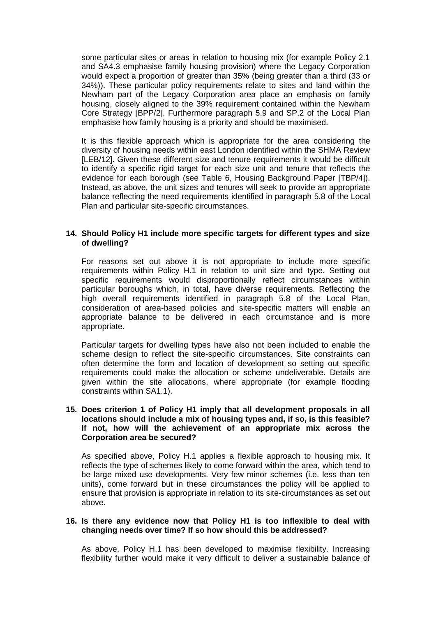some particular sites or areas in relation to housing mix (for example Policy 2.1 and SA4.3 emphasise family housing provision) where the Legacy Corporation would expect a proportion of greater than 35% (being greater than a third (33 or 34%)). These particular policy requirements relate to sites and land within the Newham part of the Legacy Corporation area place an emphasis on family housing, closely aligned to the 39% requirement contained within the Newham Core Strategy [BPP/2]. Furthermore paragraph 5.9 and SP.2 of the Local Plan emphasise how family housing is a priority and should be maximised.

It is this flexible approach which is appropriate for the area considering the diversity of housing needs within east London identified within the SHMA Review [LEB/12]. Given these different size and tenure requirements it would be difficult to identify a specific rigid target for each size unit and tenure that reflects the evidence for each borough (see Table 6, Housing Background Paper [TBP/4]). Instead, as above, the unit sizes and tenures will seek to provide an appropriate balance reflecting the need requirements identified in paragraph 5.8 of the Local Plan and particular site-specific circumstances.

### **14. Should Policy H1 include more specific targets for different types and size of dwelling?**

For reasons set out above it is not appropriate to include more specific requirements within Policy H.1 in relation to unit size and type. Setting out specific requirements would disproportionally reflect circumstances within particular boroughs which, in total, have diverse requirements. Reflecting the high overall requirements identified in paragraph 5.8 of the Local Plan, consideration of area-based policies and site-specific matters will enable an appropriate balance to be delivered in each circumstance and is more appropriate.

Particular targets for dwelling types have also not been included to enable the scheme design to reflect the site-specific circumstances. Site constraints can often determine the form and location of development so setting out specific requirements could make the allocation or scheme undeliverable. Details are given within the site allocations, where appropriate (for example flooding constraints within SA1.1).

### **15. Does criterion 1 of Policy H1 imply that all development proposals in all locations should include a mix of housing types and, if so, is this feasible? If not, how will the achievement of an appropriate mix across the Corporation area be secured?**

As specified above, Policy H.1 applies a flexible approach to housing mix. It reflects the type of schemes likely to come forward within the area, which tend to be large mixed use developments. Very few minor schemes (i.e. less than ten units), come forward but in these circumstances the policy will be applied to ensure that provision is appropriate in relation to its site-circumstances as set out above.

#### **16. Is there any evidence now that Policy H1 is too inflexible to deal with changing needs over time? If so how should this be addressed?**

As above, Policy H.1 has been developed to maximise flexibility. Increasing flexibility further would make it very difficult to deliver a sustainable balance of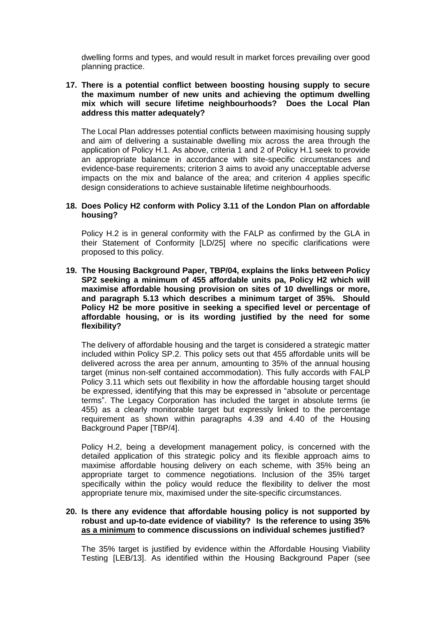dwelling forms and types, and would result in market forces prevailing over good planning practice.

# **17. There is a potential conflict between boosting housing supply to secure the maximum number of new units and achieving the optimum dwelling mix which will secure lifetime neighbourhoods? Does the Local Plan address this matter adequately?**

The Local Plan addresses potential conflicts between maximising housing supply and aim of delivering a sustainable dwelling mix across the area through the application of Policy H.1. As above, criteria 1 and 2 of Policy H.1 seek to provide an appropriate balance in accordance with site-specific circumstances and evidence-base requirements; criterion 3 aims to avoid any unacceptable adverse impacts on the mix and balance of the area; and criterion 4 applies specific design considerations to achieve sustainable lifetime neighbourhoods.

### **18. Does Policy H2 conform with Policy 3.11 of the London Plan on affordable housing?**

Policy H.2 is in general conformity with the FALP as confirmed by the GLA in their Statement of Conformity [LD/25] where no specific clarifications were proposed to this policy.

**19. The Housing Background Paper, TBP/04, explains the links between Policy SP2 seeking a minimum of 455 affordable units pa, Policy H2 which will maximise affordable housing provision on sites of 10 dwellings or more, and paragraph 5.13 which describes a minimum target of 35%. Should Policy H2 be more positive in seeking a specified level or percentage of affordable housing, or is its wording justified by the need for some flexibility?**

The delivery of affordable housing and the target is considered a strategic matter included within Policy SP.2. This policy sets out that 455 affordable units will be delivered across the area per annum, amounting to 35% of the annual housing target (minus non-self contained accommodation). This fully accords with FALP Policy 3.11 which sets out flexibility in how the affordable housing target should be expressed, identifying that this may be expressed in "absolute or percentage terms". The Legacy Corporation has included the target in absolute terms (ie 455) as a clearly monitorable target but expressly linked to the percentage requirement as shown within paragraphs 4.39 and 4.40 of the Housing Background Paper [TBP/4].

Policy H.2, being a development management policy, is concerned with the detailed application of this strategic policy and its flexible approach aims to maximise affordable housing delivery on each scheme, with 35% being an appropriate target to commence negotiations. Inclusion of the 35% target specifically within the policy would reduce the flexibility to deliver the most appropriate tenure mix, maximised under the site-specific circumstances.

## **20. Is there any evidence that affordable housing policy is not supported by robust and up-to-date evidence of viability? Is the reference to using 35% as a minimum to commence discussions on individual schemes justified?**

The 35% target is justified by evidence within the Affordable Housing Viability Testing [LEB/13]. As identified within the Housing Background Paper (see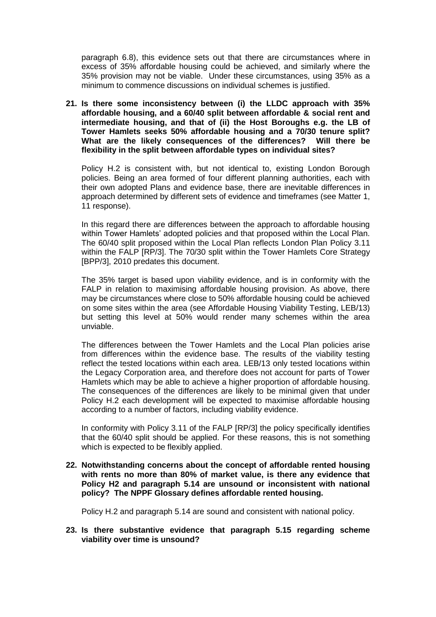paragraph 6.8), this evidence sets out that there are circumstances where in excess of 35% affordable housing could be achieved, and similarly where the 35% provision may not be viable. Under these circumstances, using 35% as a minimum to commence discussions on individual schemes is justified.

**21. Is there some inconsistency between (i) the LLDC approach with 35% affordable housing, and a 60/40 split between affordable & social rent and intermediate housing, and that of (ii) the Host Boroughs e.g. the LB of Tower Hamlets seeks 50% affordable housing and a 70/30 tenure split? What are the likely consequences of the differences? Will there be flexibility in the split between affordable types on individual sites?**

Policy H.2 is consistent with, but not identical to, existing London Borough policies. Being an area formed of four different planning authorities, each with their own adopted Plans and evidence base, there are inevitable differences in approach determined by different sets of evidence and timeframes (see Matter 1, 11 response).

In this regard there are differences between the approach to affordable housing within Tower Hamlets' adopted policies and that proposed within the Local Plan. The 60/40 split proposed within the Local Plan reflects London Plan Policy 3.11 within the FALP [RP/3]. The 70/30 split within the Tower Hamlets Core Strategy [BPP/3], 2010 predates this document.

The 35% target is based upon viability evidence, and is in conformity with the FALP in relation to maximising affordable housing provision. As above, there may be circumstances where close to 50% affordable housing could be achieved on some sites within the area (see Affordable Housing Viability Testing, LEB/13) but setting this level at 50% would render many schemes within the area unviable.

The differences between the Tower Hamlets and the Local Plan policies arise from differences within the evidence base. The results of the viability testing reflect the tested locations within each area. LEB/13 only tested locations within the Legacy Corporation area, and therefore does not account for parts of Tower Hamlets which may be able to achieve a higher proportion of affordable housing. The consequences of the differences are likely to be minimal given that under Policy H.2 each development will be expected to maximise affordable housing according to a number of factors, including viability evidence.

In conformity with Policy 3.11 of the FALP [RP/3] the policy specifically identifies that the 60/40 split should be applied. For these reasons, this is not something which is expected to be flexibly applied.

**22. Notwithstanding concerns about the concept of affordable rented housing with rents no more than 80% of market value, is there any evidence that Policy H2 and paragraph 5.14 are unsound or inconsistent with national policy? The NPPF Glossary defines affordable rented housing.**

Policy H.2 and paragraph 5.14 are sound and consistent with national policy.

**23. Is there substantive evidence that paragraph 5.15 regarding scheme viability over time is unsound?**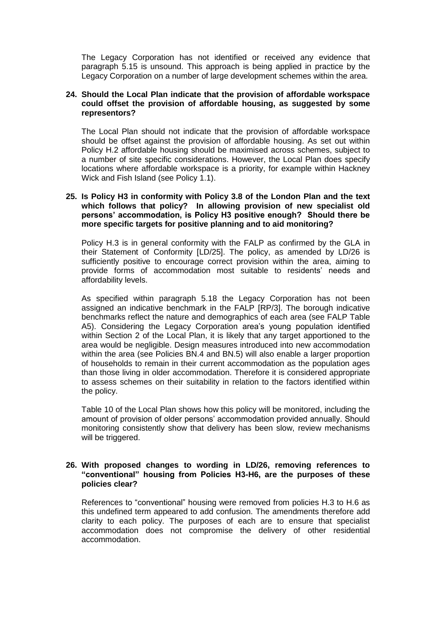The Legacy Corporation has not identified or received any evidence that paragraph 5.15 is unsound. This approach is being applied in practice by the Legacy Corporation on a number of large development schemes within the area.

# **24. Should the Local Plan indicate that the provision of affordable workspace could offset the provision of affordable housing, as suggested by some representors?**

The Local Plan should not indicate that the provision of affordable workspace should be offset against the provision of affordable housing. As set out within Policy H.2 affordable housing should be maximised across schemes, subject to a number of site specific considerations. However, the Local Plan does specify locations where affordable workspace is a priority, for example within Hackney Wick and Fish Island (see Policy 1.1).

## **25. Is Policy H3 in conformity with Policy 3.8 of the London Plan and the text which follows that policy? In allowing provision of new specialist old persons' accommodation, is Policy H3 positive enough? Should there be more specific targets for positive planning and to aid monitoring?**

Policy H.3 is in general conformity with the FALP as confirmed by the GLA in their Statement of Conformity [LD/25]. The policy, as amended by LD/26 is sufficiently positive to encourage correct provision within the area, aiming to provide forms of accommodation most suitable to residents' needs and affordability levels.

As specified within paragraph 5.18 the Legacy Corporation has not been assigned an indicative benchmark in the FALP [RP/3]. The borough indicative benchmarks reflect the nature and demographics of each area (see FALP Table A5). Considering the Legacy Corporation area's young population identified within Section 2 of the Local Plan, it is likely that any target apportioned to the area would be negligible. Design measures introduced into new accommodation within the area (see Policies BN.4 and BN.5) will also enable a larger proportion of households to remain in their current accommodation as the population ages than those living in older accommodation. Therefore it is considered appropriate to assess schemes on their suitability in relation to the factors identified within the policy.

Table 10 of the Local Plan shows how this policy will be monitored, including the amount of provision of older persons' accommodation provided annually. Should monitoring consistently show that delivery has been slow, review mechanisms will be triggered.

# **26. With proposed changes to wording in LD/26, removing references to "conventional" housing from Policies H3-H6, are the purposes of these policies clear?**

References to "conventional" housing were removed from policies H.3 to H.6 as this undefined term appeared to add confusion. The amendments therefore add clarity to each policy. The purposes of each are to ensure that specialist accommodation does not compromise the delivery of other residential accommodation.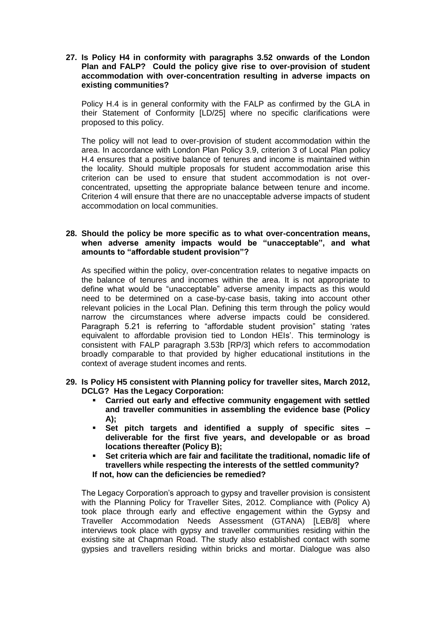**27. Is Policy H4 in conformity with paragraphs 3.52 onwards of the London Plan and FALP? Could the policy give rise to over-provision of student accommodation with over-concentration resulting in adverse impacts on existing communities?**

Policy H.4 is in general conformity with the FALP as confirmed by the GLA in their Statement of Conformity [LD/25] where no specific clarifications were proposed to this policy.

The policy will not lead to over-provision of student accommodation within the area. In accordance with London Plan Policy 3.9, criterion 3 of Local Plan policy H.4 ensures that a positive balance of tenures and income is maintained within the locality. Should multiple proposals for student accommodation arise this criterion can be used to ensure that student accommodation is not overconcentrated, upsetting the appropriate balance between tenure and income. Criterion 4 will ensure that there are no unacceptable adverse impacts of student accommodation on local communities.

# **28. Should the policy be more specific as to what over-concentration means, when adverse amenity impacts would be "unacceptable", and what amounts to "affordable student provision"?**

As specified within the policy, over-concentration relates to negative impacts on the balance of tenures and incomes within the area. It is not appropriate to define what would be "unacceptable" adverse amenity impacts as this would need to be determined on a case-by-case basis, taking into account other relevant policies in the Local Plan. Defining this term through the policy would narrow the circumstances where adverse impacts could be considered. Paragraph 5.21 is referring to "affordable student provision" stating 'rates equivalent to affordable provision tied to London HEIs'. This terminology is consistent with FALP paragraph 3.53b [RP/3] which refers to accommodation broadly comparable to that provided by higher educational institutions in the context of average student incomes and rents.

- **29. Is Policy H5 consistent with Planning policy for traveller sites, March 2012, DCLG? Has the Legacy Corporation:**
	- **Carried out early and effective community engagement with settled and traveller communities in assembling the evidence base (Policy A);**
	- **Set pitch targets and identified a supply of specific sites – deliverable for the first five years, and developable or as broad locations thereafter (Policy B);**
	- **Set criteria which are fair and facilitate the traditional, nomadic life of travellers while respecting the interests of the settled community?**

**If not, how can the deficiencies be remedied?** 

The Legacy Corporation's approach to gypsy and traveller provision is consistent with the Planning Policy for Traveller Sites, 2012. Compliance with (Policy A) took place through early and effective engagement within the Gypsy and Traveller Accommodation Needs Assessment (GTANA) [LEB/8] where interviews took place with gypsy and traveller communities residing within the existing site at Chapman Road. The study also established contact with some gypsies and travellers residing within bricks and mortar. Dialogue was also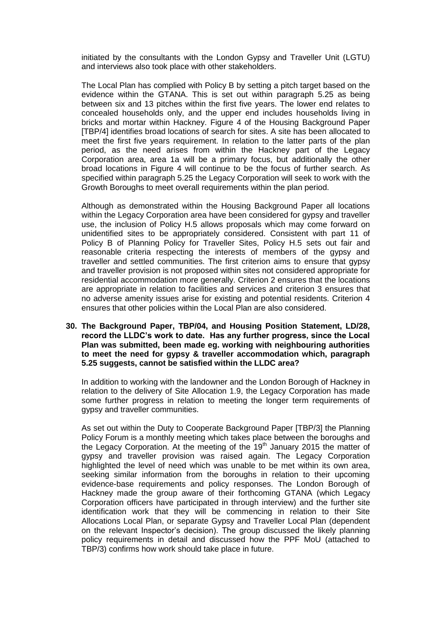initiated by the consultants with the London Gypsy and Traveller Unit (LGTU) and interviews also took place with other stakeholders.

The Local Plan has complied with Policy B by setting a pitch target based on the evidence within the GTANA. This is set out within paragraph 5.25 as being between six and 13 pitches within the first five years. The lower end relates to concealed households only, and the upper end includes households living in bricks and mortar within Hackney. Figure 4 of the Housing Background Paper [TBP/4] identifies broad locations of search for sites. A site has been allocated to meet the first five years requirement. In relation to the latter parts of the plan period, as the need arises from within the Hackney part of the Legacy Corporation area, area 1a will be a primary focus, but additionally the other broad locations in Figure 4 will continue to be the focus of further search. As specified within paragraph 5.25 the Legacy Corporation will seek to work with the Growth Boroughs to meet overall requirements within the plan period.

Although as demonstrated within the Housing Background Paper all locations within the Legacy Corporation area have been considered for gypsy and traveller use, the inclusion of Policy H.5 allows proposals which may come forward on unidentified sites to be appropriately considered. Consistent with part 11 of Policy B of Planning Policy for Traveller Sites, Policy H.5 sets out fair and reasonable criteria respecting the interests of members of the gypsy and traveller and settled communities. The first criterion aims to ensure that gypsy and traveller provision is not proposed within sites not considered appropriate for residential accommodation more generally. Criterion 2 ensures that the locations are appropriate in relation to facilities and services and criterion 3 ensures that no adverse amenity issues arise for existing and potential residents. Criterion 4 ensures that other policies within the Local Plan are also considered.

#### **30. The Background Paper, TBP/04, and Housing Position Statement, LD/28, record the LLDC's work to date. Has any further progress, since the Local Plan was submitted, been made eg. working with neighbouring authorities to meet the need for gypsy & traveller accommodation which, paragraph 5.25 suggests, cannot be satisfied within the LLDC area?**

In addition to working with the landowner and the London Borough of Hackney in relation to the delivery of Site Allocation 1.9, the Legacy Corporation has made some further progress in relation to meeting the longer term requirements of gypsy and traveller communities.

As set out within the Duty to Cooperate Background Paper [TBP/3] the Planning Policy Forum is a monthly meeting which takes place between the boroughs and the Legacy Corporation. At the meeting of the  $19<sup>th</sup>$  January 2015 the matter of gypsy and traveller provision was raised again. The Legacy Corporation highlighted the level of need which was unable to be met within its own area, seeking similar information from the boroughs in relation to their upcoming evidence-base requirements and policy responses. The London Borough of Hackney made the group aware of their forthcoming GTANA (which Legacy Corporation officers have participated in through interview) and the further site identification work that they will be commencing in relation to their Site Allocations Local Plan, or separate Gypsy and Traveller Local Plan (dependent on the relevant Inspector's decision). The group discussed the likely planning policy requirements in detail and discussed how the PPF MoU (attached to TBP/3) confirms how work should take place in future.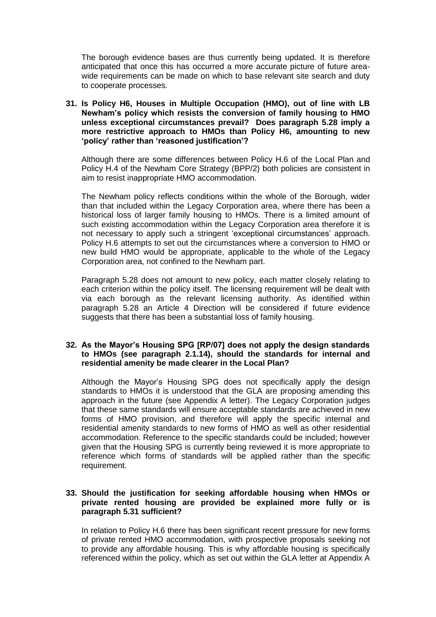The borough evidence bases are thus currently being updated. It is therefore anticipated that once this has occurred a more accurate picture of future areawide requirements can be made on which to base relevant site search and duty to cooperate processes.

**31. Is Policy H6, Houses in Multiple Occupation (HMO), out of line with LB Newham's policy which resists the conversion of family housing to HMO unless exceptional circumstances prevail? Does paragraph 5.28 imply a more restrictive approach to HMOs than Policy H6, amounting to new 'policy' rather than 'reasoned justification'?** 

Although there are some differences between Policy H.6 of the Local Plan and Policy H.4 of the Newham Core Strategy (BPP/2) both policies are consistent in aim to resist inappropriate HMO accommodation.

The Newham policy reflects conditions within the whole of the Borough, wider than that included within the Legacy Corporation area, where there has been a historical loss of larger family housing to HMOs. There is a limited amount of such existing accommodation within the Legacy Corporation area therefore it is not necessary to apply such a stringent 'exceptional circumstances' approach. Policy H.6 attempts to set out the circumstances where a conversion to HMO or new build HMO would be appropriate, applicable to the whole of the Legacy Corporation area, not confined to the Newham part.

Paragraph 5.28 does not amount to new policy, each matter closely relating to each criterion within the policy itself. The licensing requirement will be dealt with via each borough as the relevant licensing authority. As identified within paragraph 5.28 an Article 4 Direction will be considered if future evidence suggests that there has been a substantial loss of family housing.

# **32. As the Mayor's Housing SPG [RP/07] does not apply the design standards to HMOs (see paragraph 2.1.14), should the standards for internal and residential amenity be made clearer in the Local Plan?**

Although the Mayor's Housing SPG does not specifically apply the design standards to HMOs it is understood that the GLA are proposing amending this approach in the future (see Appendix A letter). The Legacy Corporation judges that these same standards will ensure acceptable standards are achieved in new forms of HMO provision, and therefore will apply the specific internal and residential amenity standards to new forms of HMO as well as other residential accommodation. Reference to the specific standards could be included; however given that the Housing SPG is currently being reviewed it is more appropriate to reference which forms of standards will be applied rather than the specific requirement.

# **33. Should the justification for seeking affordable housing when HMOs or private rented housing are provided be explained more fully or is paragraph 5.31 sufficient?**

In relation to Policy H.6 there has been significant recent pressure for new forms of private rented HMO accommodation, with prospective proposals seeking not to provide any affordable housing. This is why affordable housing is specifically referenced within the policy, which as set out within the GLA letter at Appendix A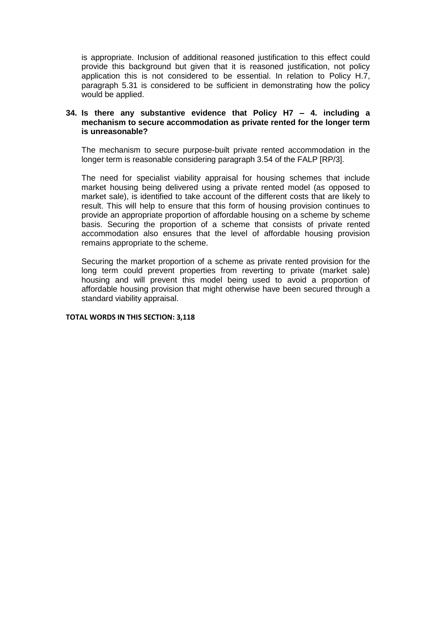is appropriate. Inclusion of additional reasoned justification to this effect could provide this background but given that it is reasoned justification, not policy application this is not considered to be essential. In relation to Policy H.7, paragraph 5.31 is considered to be sufficient in demonstrating how the policy would be applied.

#### **34. Is there any substantive evidence that Policy H7 – 4. including a mechanism to secure accommodation as private rented for the longer term is unreasonable?**

The mechanism to secure purpose-built private rented accommodation in the longer term is reasonable considering paragraph 3.54 of the FALP [RP/3].

The need for specialist viability appraisal for housing schemes that include market housing being delivered using a private rented model (as opposed to market sale), is identified to take account of the different costs that are likely to result. This will help to ensure that this form of housing provision continues to provide an appropriate proportion of affordable housing on a scheme by scheme basis. Securing the proportion of a scheme that consists of private rented accommodation also ensures that the level of affordable housing provision remains appropriate to the scheme.

Securing the market proportion of a scheme as private rented provision for the long term could prevent properties from reverting to private (market sale) housing and will prevent this model being used to avoid a proportion of affordable housing provision that might otherwise have been secured through a standard viability appraisal.

#### **TOTAL WORDS IN THIS SECTION: 3,118**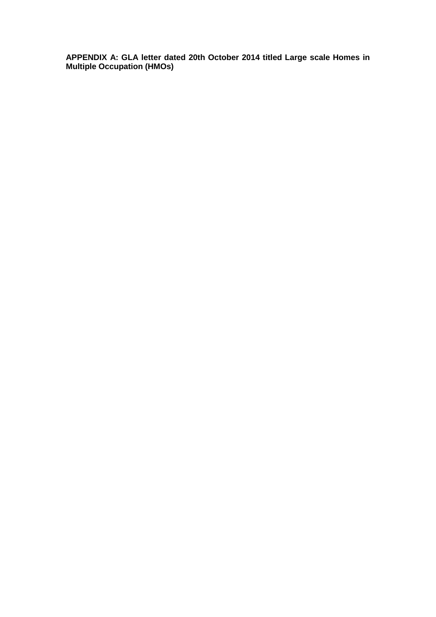**APPENDIX A: GLA letter dated 20th October 2014 titled Large scale Homes in Multiple Occupation (HMOs)**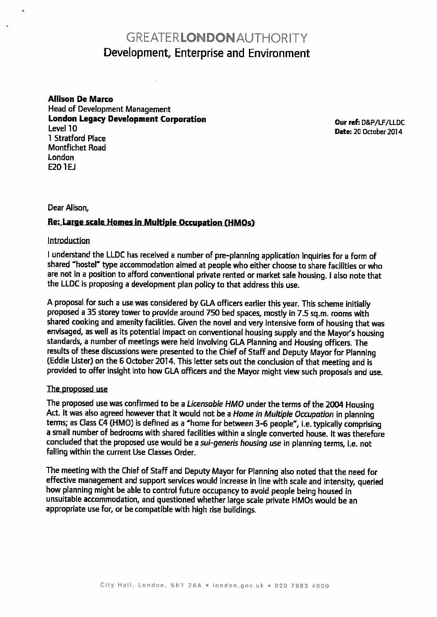# GREATERLONDONAUTHORITY Development, Enterprise and Environment

Allison De Marco Head of Development Management London Legacy Development Corporation<br>
Level 10 1 stratford Place Montfichet Road London  $F20 1FI$ 

Date: 20 October 2014

#### Dear Alison,

# Re: Large scale Homes in Multiple Occupation (HMOs)

#### **Introduction**

<sup>I</sup> understand the LLDC has received <sup>a</sup> number of pre-planning application inquiries for <sup>a</sup> form of shared "hostel" type accommodation aimed at people who either choose to share facilities or who are not in <sup>a</sup> position to afford conventional private rented or market sale housing. <sup>I</sup> also note that the LLDC is proposing <sup>a</sup> development <sup>p</sup>lan policy to that address this use.

<sup>A</sup> proposal for such <sup>a</sup> use was considered by GLA officers earlier this year. This scheme initially proposed <sup>a</sup> <sup>35</sup> storey tower to provide around <sup>750</sup> bed spaces, mostly in 7.5 sq.m. rooms with shared cooking and amenity facilities. Given the novel and very intensive form of housing that was<br>envisaged, as well as its potential impact on conventional housing supply and the Mayor's housing standards, a number of meetings were held involving GLA Planning and Housing officers. The<br>results of these discussions were presented to the Chief of Staff and Deputy Mayor for Planning (Eddie Lister) on the 6 October 2014. This letter sets out the conclusion of that meeting and is provided to offer insight into how GLA officers and the Mayor might view such proposals and use.

#### The proposed use

The proposed use was confirmed to be a *Licensable HMO* under the terms of the 2004 Housing<br>Act. It was also agreed however that it would not be a Home in Multiple Occupation in planning terms; as Class C4 (HMO) is defined as <sup>a</sup> "home for between 3-6 people", i.e. typically comprising <sup>a</sup> small number of bedrooms with shared facilities within <sup>a</sup> single converted house. It was therefore concluded that the proposed use would be <sup>a</sup> sui-generis housing use in <sup>p</sup>lanning terms, i.e. not falling within the current Use Classes Order.

The meeting with the Chief of Staff and Deputy Mayor for Planning also noted that the need for effective management and support services would increase in line with scale and intensity, queried how <sup>p</sup>lanning might be able to control future occupancy to avoid people being housed in unsuitable accommodation, and questioned whether large scale private HMOs would he an appropriate use for, or be compatible with high rise buildings.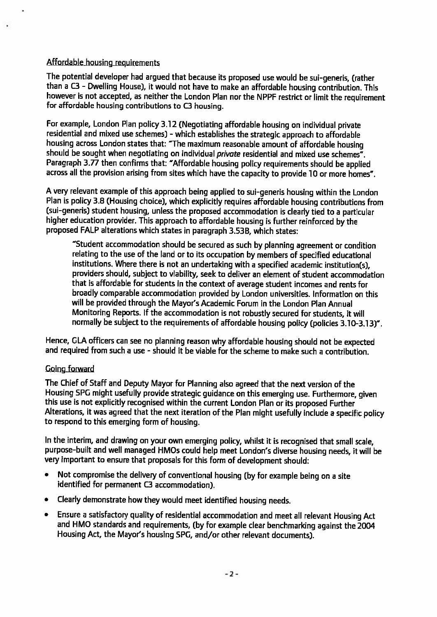# Affordable housing requirements

The potential developer had argued that because its proposed use would be sui-generis, (rather than <sup>a</sup> C3 -Dwelling House), it would not have to make an affordable housing contribution. This however is not accepted, as neither the London Plan nor the NPPF restrict or limit the requirement for affordable housing contributions to C3 housing.

For example, London Plan policy 3.12 (Negotiating affordable housing on individual private residential and mixed use schemes) - which establishes the strategic approach to affordable housing across London states that: "The maximum reasonable amount of affordable housing should be sought when negotiating on individual *private* residential and mixed use schemes<sup>7</sup>. Paragraph 3.77 then confirms that: "Affordable housing policy requirements should be applied across all the provision arising from sites which have the capacity to provide <sup>10</sup> or more homes".

<sup>A</sup> very relevant example of this approach being applied to sui-generis housing within the London Plan is policy 3.8 (Housing choice), which explicitly requires affordable housing contributions from (sui-generis) student housing, unless the proposed accommodation is clearly tied to <sup>a</sup> particular higher education provider. This approach to affordable housing is further reinforced by the proposed FALP alterations which states in paragrap<sup>h</sup> 3.53B, which states:

"Student accommodation should be secured as such by <sup>p</sup>lanning agreement or condition relating to the use of the land or to its occupation by members of specified educational institutions. Where there is not an undertaking with <sup>a</sup> specified academic institution(s), providers should, subject to viability, seek to deliver an element of student accommodation that is affordable for students in the context of average student incomes and rents for broadly comparable accommodation provided by London universities. Information on this will be provided through the Mayor's Academic Forum in the London Plan Annual Monitoring Reports. If the accommodation is not robustly secured for students, it will normally be subject to the requirements of affordable housing policy (policies 3.10-3.13)".

Hence, GLA officers can see no <sup>p</sup>lanning reason why affordable housing should not be expected and required from such a use - should it be viable for the scheme to make such a contribution.

# **Coing forward**

The Chief of Staff and Deputy Mayor for Planning also agreed that the next version of the<br>Housing SPG might usefully provide strategic quidance on this emerging use. Furthermore, given this use is not explicitly recognised within the current London Plan or its proposed Further Alterations, it was agreed that the next iteration of the Plan might usefully include <sup>a</sup> specific policy to respond to this emerging form of housing.

In the interim, and drawing on your own emerging policy, whilst it is recognised that small scale, purpose-built and well managed HMOs could help meet London's diverse housing needs, it will be very important to ensure that proposals for this form of development should:

- • Not compromise the delivery of conventional housing (by for example being on <sup>a</sup> site identified for permanent C3 accommodation).
- $\bullet$ Clearly demonstrate how they would meet identified housing needs.
- • Ensure <sup>a</sup> satisfactory quality of residential accommodation and meet all relevant Housing Act and HMO standards and requirements, (by for example clear benchmarking against the <sup>2004</sup> Housing Act, the Mayor's housing SPG, and/or other relevant documents).